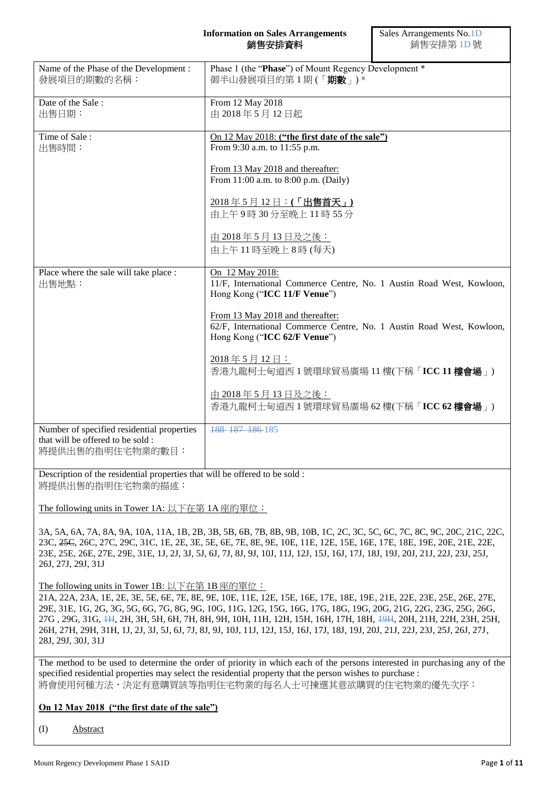#### **Information on Sales Arrangements** 銷售安排資料

Sales Arrangements No.1D 銷售安排第 1D 號

| Name of the Phase of the Development :<br>發展項目的期數的名稱:                                               | Phase 1 (the "Phase") of Mount Regency Development *<br>御半山發展項目的第1期(「期數」)*                                                                |
|-----------------------------------------------------------------------------------------------------|-------------------------------------------------------------------------------------------------------------------------------------------|
| Date of the Sale:<br>出售日期:                                                                          | From 12 May 2018<br>由 2018年5月12日起                                                                                                         |
| Time of Sale:<br>出售時間:                                                                              | On 12 May 2018: ("the first date of the sale")<br>From 9:30 a.m. to 11:55 p.m.                                                            |
|                                                                                                     | From 13 May 2018 and thereafter:<br>From 11:00 a.m. to 8:00 p.m. (Daily)                                                                  |
|                                                                                                     | 2018年5月12日:(「出售首天」)<br>由上午9時30分至晚上11時55分                                                                                                  |
|                                                                                                     | <u>由 2018年5月13日及之後:</u><br>由上午11時至晚上8時(每天)                                                                                                |
| Place where the sale will take place :<br>出售地點:                                                     | On 12 May 2018:<br>11/F, International Commerce Centre, No. 1 Austin Road West, Kowloon,<br>Hong Kong ("ICC 11/F Venue")                  |
|                                                                                                     | From 13 May 2018 and thereafter:<br>62/F, International Commerce Centre, No. 1 Austin Road West, Kowloon,<br>Hong Kong ("ICC 62/F Venue") |
|                                                                                                     | 2018年5月12日:<br>香港九龍柯士甸道西1號環球貿易廣場11樓(下稱「ICC 11樓會場」)                                                                                        |
|                                                                                                     | 由 2018年5月13日及之後:<br>香港九龍柯士甸道西1號環球貿易廣場 62樓(下稱「ICC 62樓會場」)                                                                                  |
| Number of specified residential properties<br>that will be offered to be sold :<br>將提供出售的指明住宅物業的數目: | 188 187 186 185                                                                                                                           |

Description of the residential properties that will be offered to be sold : 將提供出售的指明住宅物業的描述:

The following units in Tower 1A: 以下在第 1A 座的單位:

3A, 5A, 6A, 7A, 8A, 9A, 10A, 11A, 1B, 2B, 3B, 5B, 6B, 7B, 8B, 9B, 10B, 1C, 2C, 3C, 5C, 6C, 7C, 8C, 9C, 20C, 21C, 22C, 23C, 25C, 26C, 27C, 29C, 31C, 1E, 2E, 3E, 5E, 6E, 7E, 8E, 9E, 10E, 11E, 12E, 15E, 16E, 17E, 18E, 19E, 20E, 21E, 22E, 23E, 25E, 26E, 27E, 29E, 31E, 1J, 2J, 3J, 5J, 6J, 7J, 8J, 9J, 10J, 11J, 12J, 15J, 16J, 17J, 18J, 19J, 20J, 21J, 22J, 23J, 25J, 26J, 27J, 29J, 31J

The following units in Tower 1B: 以下在第 1B 座的單位:

21A, 22A, 23A, 1E, 2E, 3E, 5E, 6E, 7E, 8E, 9E, 10E, 11E, 12E, 15E, 16E, 17E, 18E, 19E, 21E, 22E, 23E, 25E, 26E, 27E, 29E, 31E, 1G, 2G, 3G, 5G, 6G, 7G, 8G, 9G, 10G, 11G, 12G, 15G, 16G, 17G, 18G, 19G, 20G, 21G, 22G, 23G, 25G, 26G, 27G , 29G, 31G, 1H, 2H, 3H, 5H, 6H, 7H, 8H, 9H, 10H, 11H, 12H, 15H, 16H, 17H, 18H, 19H, 20H, 21H, 22H, 23H, 25H, 26H, 27H, 29H, 31H, 1J, 2J, 3J, 5J, 6J, 7J, 8J, 9J, 10J, 11J, 12J, 15J, 16J, 17J, 18J, 19J, 20J, 21J, 22J, 23J, 25J, 26J, 27J, 28J, 29J, 30J, 31J

The method to be used to determine the order of priority in which each of the persons interested in purchasing any of the specified residential properties may select the residential property that the person wishes to purchase : 將會使用何種方法,決定有意購買該等指明住宅物業的每名人士可揀選其意欲購買的住宅物業的優先次序:

## **On 12 May 2018 ("the first date of the sale")**

(I) Abstract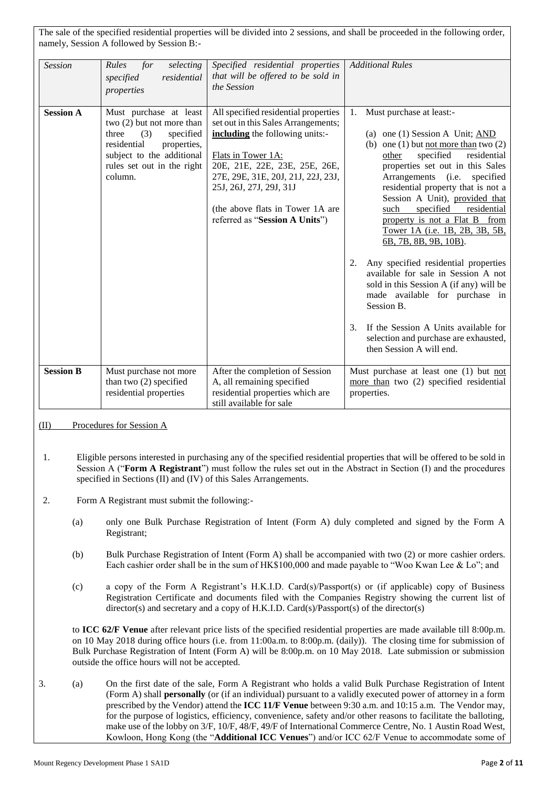The sale of the specified residential properties will be divided into 2 sessions, and shall be proceeded in the following order, namely, Session A followed by Session B:-

| <b>Session</b>   | Rules<br>selecting<br>for<br>residential<br>specified<br>properties                                                                                                                    | Specified residential properties<br>that will be offered to be sold in<br>the Session                                                                                                                                                                                                                        | <b>Additional Rules</b>                                                                                                                                                                                                                                                                                                                                                                                                                                                                                                                                                                                                                                                                                                                                       |
|------------------|----------------------------------------------------------------------------------------------------------------------------------------------------------------------------------------|--------------------------------------------------------------------------------------------------------------------------------------------------------------------------------------------------------------------------------------------------------------------------------------------------------------|---------------------------------------------------------------------------------------------------------------------------------------------------------------------------------------------------------------------------------------------------------------------------------------------------------------------------------------------------------------------------------------------------------------------------------------------------------------------------------------------------------------------------------------------------------------------------------------------------------------------------------------------------------------------------------------------------------------------------------------------------------------|
| <b>Session A</b> | Must purchase at least<br>two $(2)$ but not more than<br>three<br>(3)<br>specified<br>residential<br>properties,<br>subject to the additional<br>rules set out in the right<br>column. | All specified residential properties<br>set out in this Sales Arrangements;<br>including the following units:-<br>Flats in Tower 1A:<br>20E, 21E, 22E, 23E, 25E, 26E,<br>27E, 29E, 31E, 20J, 21J, 22J, 23J,<br>25J, 26J, 27J, 29J, 31J<br>(the above flats in Tower 1A are<br>referred as "Session A Units") | Must purchase at least:-<br>1.<br>(a) one (1) Session A Unit; $\triangle$ ND<br>(b) one (1) but <u>not more than</u> two $(2)$<br>specified<br>residential<br>other<br>properties set out in this Sales<br>Arrangements<br>(i.e.<br>specified<br>residential property that is not a<br>Session A Unit), provided that<br>specified<br>such<br>residential<br>property is not a Flat B from<br>Tower 1A (i.e. 1B, 2B, 3B, 5B,<br>6B, 7B, 8B, 9B, 10B).<br>Any specified residential properties<br>2.<br>available for sale in Session A not<br>sold in this Session A (if any) will be<br>made available for purchase in<br>Session B.<br>If the Session A Units available for<br>$3_{-}$<br>selection and purchase are exhausted,<br>then Session A will end. |
| <b>Session B</b> | Must purchase not more<br>than two $(2)$ specified<br>residential properties                                                                                                           | After the completion of Session<br>A, all remaining specified<br>residential properties which are<br>still available for sale                                                                                                                                                                                | Must purchase at least one (1) but not<br>more than two (2) specified residential<br>properties.                                                                                                                                                                                                                                                                                                                                                                                                                                                                                                                                                                                                                                                              |

#### (II) Procedures for Session A

- 1. Eligible persons interested in purchasing any of the specified residential properties that will be offered to be sold in Session A ("**Form A Registrant**") must follow the rules set out in the Abstract in Section (I) and the procedures specified in Sections (II) and (IV) of this Sales Arrangements.
- 2. Form A Registrant must submit the following:-
	- (a) only one Bulk Purchase Registration of Intent (Form A) duly completed and signed by the Form A Registrant;
	- (b) Bulk Purchase Registration of Intent (Form A) shall be accompanied with two (2) or more cashier orders. Each cashier order shall be in the sum of HK\$100,000 and made payable to "Woo Kwan Lee & Lo"; and
	- (c) a copy of the Form A Registrant's H.K.I.D. Card(s)/Passport(s) or (if applicable) copy of Business Registration Certificate and documents filed with the Companies Registry showing the current list of director(s) and secretary and a copy of H.K.I.D. Card(s)/Passport(s) of the director(s)

to **ICC 62/F Venue** after relevant price lists of the specified residential properties are made available till 8:00p.m. on 10 May 2018 during office hours (i.e. from 11:00a.m. to 8:00p.m. (daily)). The closing time for submission of Bulk Purchase Registration of Intent (Form A) will be 8:00p.m. on 10 May 2018. Late submission or submission outside the office hours will not be accepted.

3. (a) On the first date of the sale, Form A Registrant who holds a valid Bulk Purchase Registration of Intent (Form A) shall **personally** (or (if an individual) pursuant to a validly executed power of attorney in a form prescribed by the Vendor) attend the **ICC 11/F Venue** between 9:30 a.m. and 10:15 a.m. The Vendor may, for the purpose of logistics, efficiency, convenience, safety and/or other reasons to facilitate the balloting, make use of the lobby on 3/F, 10/F, 48/F, 49/F of International Commerce Centre, No. 1 Austin Road West, Kowloon, Hong Kong (the "**Additional ICC Venues**") and/or ICC 62/F Venue to accommodate some of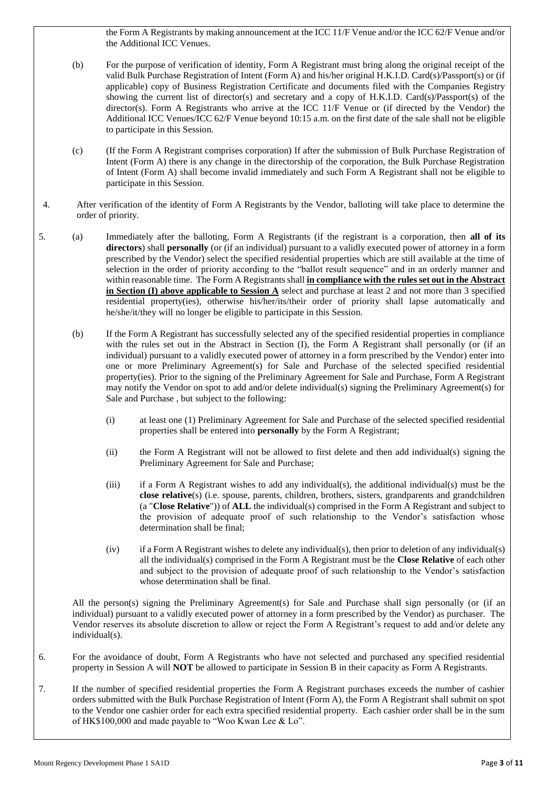the Form A Registrants by making announcement at the ICC 11/F Venue and/or the ICC 62/F Venue and/or the Additional ICC Venues.

- (b) For the purpose of verification of identity, Form A Registrant must bring along the original receipt of the valid Bulk Purchase Registration of Intent (Form A) and his/her original H.K.I.D. Card(s)/Passport(s) or (if applicable) copy of Business Registration Certificate and documents filed with the Companies Registry showing the current list of director(s) and secretary and a copy of H.K.I.D. Card(s)/Passport(s) of the director(s). Form A Registrants who arrive at the ICC 11/F Venue or (if directed by the Vendor) the Additional ICC Venues/ICC 62/F Venue beyond 10:15 a.m. on the first date of the sale shall not be eligible to participate in this Session.
- (c) (If the Form A Registrant comprises corporation) If after the submission of Bulk Purchase Registration of Intent (Form A) there is any change in the directorship of the corporation, the Bulk Purchase Registration of Intent (Form A) shall become invalid immediately and such Form A Registrant shall not be eligible to participate in this Session.
- 4. After verification of the identity of Form A Registrants by the Vendor, balloting will take place to determine the order of priority.
- 5. (a) Immediately after the balloting, Form A Registrants (if the registrant is a corporation, then **all of its directors**) shall **personally** (or (if an individual) pursuant to a validly executed power of attorney in a form prescribed by the Vendor) select the specified residential properties which are still available at the time of selection in the order of priority according to the "ballot result sequence" and in an orderly manner and within reasonable time. The Form A Registrants shall **in compliance with the rules set out in the Abstract in Section (I) above applicable to Session A** select and purchase at least 2 and not more than 3 specified residential property(ies), otherwise his/her/its/their order of priority shall lapse automatically and he/she/it/they will no longer be eligible to participate in this Session.
	- (b) If the Form A Registrant has successfully selected any of the specified residential properties in compliance with the rules set out in the Abstract in Section (I), the Form A Registrant shall personally (or (if an individual) pursuant to a validly executed power of attorney in a form prescribed by the Vendor) enter into one or more Preliminary Agreement(s) for Sale and Purchase of the selected specified residential property(ies). Prior to the signing of the Preliminary Agreement for Sale and Purchase, Form A Registrant may notify the Vendor on spot to add and/or delete individual(s) signing the Preliminary Agreement(s) for Sale and Purchase , but subject to the following:
		- (i) at least one (1) Preliminary Agreement for Sale and Purchase of the selected specified residential properties shall be entered into **personally** by the Form A Registrant;
		- (ii) the Form A Registrant will not be allowed to first delete and then add individual(s) signing the Preliminary Agreement for Sale and Purchase;
		- (iii) if a Form A Registrant wishes to add any individual(s), the additional individual(s) must be the **close relative**(s) (i.e. spouse, parents, children, brothers, sisters, grandparents and grandchildren (a "**Close Relative**")) of **ALL** the individual(s) comprised in the Form A Registrant and subject to the provision of adequate proof of such relationship to the Vendor's satisfaction whose determination shall be final;
		- (iv) if a Form A Registrant wishes to delete any individual(s), then prior to deletion of any individual(s) all the individual(s) comprised in the Form A Registrant must be the **Close Relative** of each other and subject to the provision of adequate proof of such relationship to the Vendor's satisfaction whose determination shall be final.

All the person(s) signing the Preliminary Agreement(s) for Sale and Purchase shall sign personally (or (if an individual) pursuant to a validly executed power of attorney in a form prescribed by the Vendor) as purchaser. The Vendor reserves its absolute discretion to allow or reject the Form A Registrant's request to add and/or delete any individual(s).

- 6. For the avoidance of doubt, Form A Registrants who have not selected and purchased any specified residential property in Session A will **NOT** be allowed to participate in Session B in their capacity as Form A Registrants.
- 7. If the number of specified residential properties the Form A Registrant purchases exceeds the number of cashier orders submitted with the Bulk Purchase Registration of Intent (Form A), the Form A Registrant shall submit on spot to the Vendor one cashier order for each extra specified residential property. Each cashier order shall be in the sum of HK\$100,000 and made payable to "Woo Kwan Lee & Lo".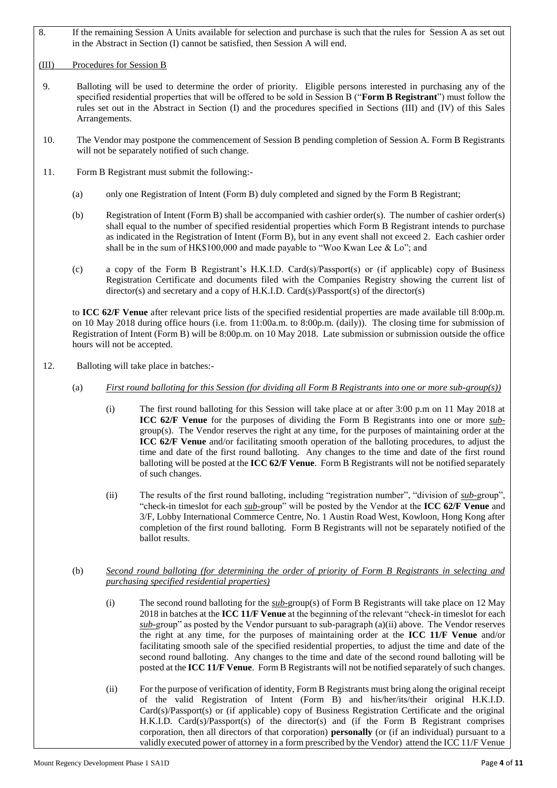8. If the remaining Session A Units available for selection and purchase is such that the rules for Session A as set out in the Abstract in Section (I) cannot be satisfied, then Session A will end.

#### (III) Procedures for Session B

- 9. Balloting will be used to determine the order of priority. Eligible persons interested in purchasing any of the specified residential properties that will be offered to be sold in Session B ("**Form B Registrant**") must follow the rules set out in the Abstract in Section (I) and the procedures specified in Sections (III) and (IV) of this Sales Arrangements.
- 10. The Vendor may postpone the commencement of Session B pending completion of Session A. Form B Registrants will not be separately notified of such change.
- 11. Form B Registrant must submit the following:-
	- (a) only one Registration of Intent (Form B) duly completed and signed by the Form B Registrant;
	- (b) Registration of Intent (Form B) shall be accompanied with cashier order(s). The number of cashier order(s) shall equal to the number of specified residential properties which Form B Registrant intends to purchase as indicated in the Registration of Intent (Form B), but in any event shall not exceed 2. Each cashier order shall be in the sum of HK\$100,000 and made payable to "Woo Kwan Lee & Lo"; and
	- (c) a copy of the Form B Registrant's H.K.I.D. Card(s)/Passport(s) or (if applicable) copy of Business Registration Certificate and documents filed with the Companies Registry showing the current list of director(s) and secretary and a copy of H.K.I.D. Card(s)/Passport(s) of the director(s)

to **ICC 62/F Venue** after relevant price lists of the specified residential properties are made available till 8:00p.m. on 10 May 2018 during office hours (i.e. from 11:00a.m. to 8:00p.m. (daily)). The closing time for submission of Registration of Intent (Form B) will be 8:00p.m. on 10 May 2018. Late submission or submission outside the office hours will not be accepted.

- 12. Balloting will take place in batches:-
	- (a) *First round balloting for this Session (for dividing all Form B Registrants into one or more sub-group(s))*
		- (i) The first round balloting for this Session will take place at or after 3:00 p.m on 11 May 2018 at **ICC 62/F Venue** for the purposes of dividing the Form B Registrants into one or more *sub*group(s). The Vendor reserves the right at any time, for the purposes of maintaining order at the **ICC 62/F Venue** and/or facilitating smooth operation of the balloting procedures, to adjust the time and date of the first round balloting. Any changes to the time and date of the first round balloting will be posted at the **ICC 62/F Venue**. Form B Registrants will not be notified separately of such changes.
		- (ii) The results of the first round balloting, including "registration number", "division of *sub-*group", "check-in timeslot for each *sub-*group" will be posted by the Vendor at the **ICC 62/F Venue** and 3/F, Lobby International Commerce Centre, No. 1 Austin Road West, Kowloon, Hong Kong after completion of the first round balloting. Form B Registrants will not be separately notified of the ballot results.
	- (b) *Second round balloting (for determining the order of priority of Form B Registrants in selecting and purchasing specified residential properties)*
		- (i) The second round balloting for the *sub-*group(s) of Form B Registrants will take place on 12 May 2018 in batches at the **ICC 11/F Venue** at the beginning of the relevant "check-in timeslot for each *sub-*group" as posted by the Vendor pursuant to sub-paragraph (a)(ii) above. The Vendor reserves the right at any time, for the purposes of maintaining order at the **ICC 11/F Venue** and/or facilitating smooth sale of the specified residential properties, to adjust the time and date of the second round balloting. Any changes to the time and date of the second round balloting will be posted at the **ICC 11/F Venue**. Form B Registrants will not be notified separately of such changes.
		- (ii) For the purpose of verification of identity, Form B Registrants must bring along the original receipt of the valid Registration of Intent (Form B) and his/her/its/their original H.K.I.D. Card(s)/Passport(s) or (if applicable) copy of Business Registration Certificate and the original H.K.I.D. Card(s)/Passport(s) of the director(s) and (if the Form B Registrant comprises corporation, then all directors of that corporation) **personally** (or (if an individual) pursuant to a validly executed power of attorney in a form prescribed by the Vendor) attend the ICC 11/F Venue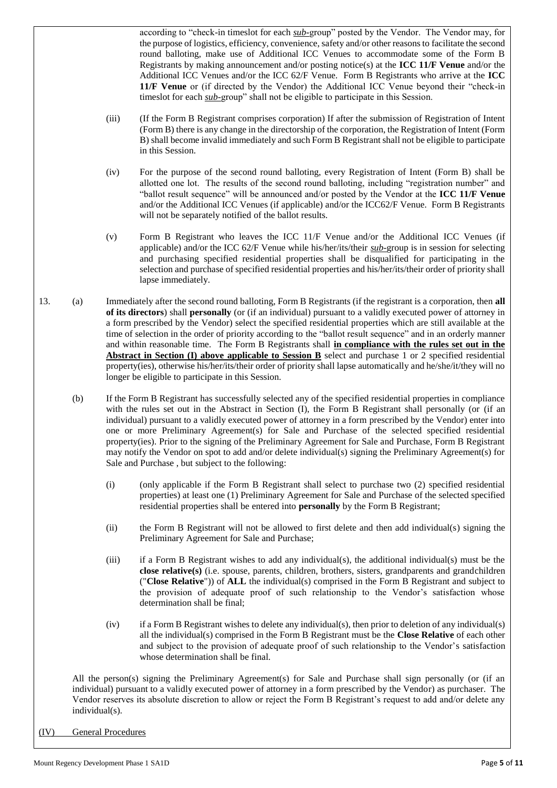according to "check-in timeslot for each *sub-*group" posted by the Vendor. The Vendor may, for the purpose of logistics, efficiency, convenience, safety and/or other reasons to facilitate the second round balloting, make use of Additional ICC Venues to accommodate some of the Form B Registrants by making announcement and/or posting notice(s) at the **ICC 11/F Venue** and/or the Additional ICC Venues and/or the ICC 62/F Venue. Form B Registrants who arrive at the **ICC 11/F Venue** or (if directed by the Vendor) the Additional ICC Venue beyond their "check-in timeslot for each *sub-*group" shall not be eligible to participate in this Session.

- (iii) (If the Form B Registrant comprises corporation) If after the submission of Registration of Intent (Form B) there is any change in the directorship of the corporation, the Registration of Intent (Form B) shall become invalid immediately and such Form B Registrant shall not be eligible to participate in this Session.
- (iv) For the purpose of the second round balloting, every Registration of Intent (Form B) shall be allotted one lot. The results of the second round balloting, including "registration number" and "ballot result sequence" will be announced and/or posted by the Vendor at the **ICC 11/F Venue** and/or the Additional ICC Venues (if applicable) and/or the ICC62/F Venue. Form B Registrants will not be separately notified of the ballot results.
- (v) Form B Registrant who leaves the ICC 11/F Venue and/or the Additional ICC Venues (if applicable) and/or the ICC 62/F Venue while his/her/its/their *sub-*group is in session for selecting and purchasing specified residential properties shall be disqualified for participating in the selection and purchase of specified residential properties and his/her/its/their order of priority shall lapse immediately.
- 13. (a) Immediately after the second round balloting, Form B Registrants (if the registrant is a corporation, then **all of its directors**) shall **personally** (or (if an individual) pursuant to a validly executed power of attorney in a form prescribed by the Vendor) select the specified residential properties which are still available at the time of selection in the order of priority according to the "ballot result sequence" and in an orderly manner and within reasonable time. The Form B Registrants shall **in compliance with the rules set out in the Abstract in Section (I) above applicable to Session B** select and purchase 1 or 2 specified residential property(ies), otherwise his/her/its/their order of priority shall lapse automatically and he/she/it/they will no longer be eligible to participate in this Session.
	- (b) If the Form B Registrant has successfully selected any of the specified residential properties in compliance with the rules set out in the Abstract in Section (I), the Form B Registrant shall personally (or (if an individual) pursuant to a validly executed power of attorney in a form prescribed by the Vendor) enter into one or more Preliminary Agreement(s) for Sale and Purchase of the selected specified residential property(ies). Prior to the signing of the Preliminary Agreement for Sale and Purchase, Form B Registrant may notify the Vendor on spot to add and/or delete individual(s) signing the Preliminary Agreement(s) for Sale and Purchase , but subject to the following:
		- (i) (only applicable if the Form B Registrant shall select to purchase two (2) specified residential properties) at least one (1) Preliminary Agreement for Sale and Purchase of the selected specified residential properties shall be entered into **personally** by the Form B Registrant;
		- (ii) the Form B Registrant will not be allowed to first delete and then add individual(s) signing the Preliminary Agreement for Sale and Purchase;
		- (iii) if a Form B Registrant wishes to add any individual(s), the additional individual(s) must be the **close relative(s)** (i.e. spouse, parents, children, brothers, sisters, grandparents and grandchildren ("**Close Relative**")) of **ALL** the individual(s) comprised in the Form B Registrant and subject to the provision of adequate proof of such relationship to the Vendor's satisfaction whose determination shall be final;
		- (iv) if a Form B Registrant wishes to delete any individual(s), then prior to deletion of any individual(s) all the individual(s) comprised in the Form B Registrant must be the **Close Relative** of each other and subject to the provision of adequate proof of such relationship to the Vendor's satisfaction whose determination shall be final.

All the person(s) signing the Preliminary Agreement(s) for Sale and Purchase shall sign personally (or (if an individual) pursuant to a validly executed power of attorney in a form prescribed by the Vendor) as purchaser. The Vendor reserves its absolute discretion to allow or reject the Form B Registrant's request to add and/or delete any individual(s).

(IV) General Procedures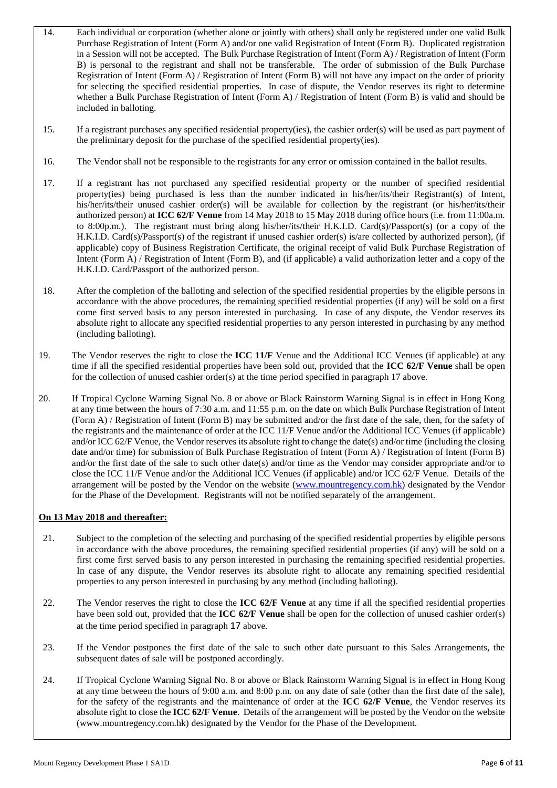- 14. Each individual or corporation (whether alone or jointly with others) shall only be registered under one valid Bulk Purchase Registration of Intent (Form A) and/or one valid Registration of Intent (Form B). Duplicated registration in a Session will not be accepted. The Bulk Purchase Registration of Intent (Form A) / Registration of Intent (Form B) is personal to the registrant and shall not be transferable. The order of submission of the Bulk Purchase Registration of Intent (Form A) / Registration of Intent (Form B) will not have any impact on the order of priority for selecting the specified residential properties. In case of dispute, the Vendor reserves its right to determine whether a Bulk Purchase Registration of Intent (Form A) / Registration of Intent (Form B) is valid and should be included in balloting.
- 15. If a registrant purchases any specified residential property(ies), the cashier order(s) will be used as part payment of the preliminary deposit for the purchase of the specified residential property(ies).
- 16. The Vendor shall not be responsible to the registrants for any error or omission contained in the ballot results.
- 17. If a registrant has not purchased any specified residential property or the number of specified residential property(ies) being purchased is less than the number indicated in his/her/its/their Registrant(s) of Intent, his/her/its/their unused cashier order(s) will be available for collection by the registrant (or his/her/its/their authorized person) at **ICC 62/F Venue** from 14 May 2018 to 15 May 2018 during office hours (i.e. from 11:00a.m. to 8:00p.m.). The registrant must bring along his/her/its/their H.K.I.D. Card(s)/Passport(s) (or a copy of the H.K.I.D. Card(s)/Passport(s) of the registrant if unused cashier order(s) is/are collected by authorized person), (if applicable) copy of Business Registration Certificate, the original receipt of valid Bulk Purchase Registration of Intent (Form A) / Registration of Intent (Form B), and (if applicable) a valid authorization letter and a copy of the H.K.I.D. Card/Passport of the authorized person.
- 18. After the completion of the balloting and selection of the specified residential properties by the eligible persons in accordance with the above procedures, the remaining specified residential properties (if any) will be sold on a first come first served basis to any person interested in purchasing. In case of any dispute, the Vendor reserves its absolute right to allocate any specified residential properties to any person interested in purchasing by any method (including balloting).
- 19. The Vendor reserves the right to close the **ICC 11/F** Venue and the Additional ICC Venues (if applicable) at any time if all the specified residential properties have been sold out, provided that the **ICC 62/F Venue** shall be open for the collection of unused cashier order(s) at the time period specified in paragraph 17 above.
- 20. If Tropical Cyclone Warning Signal No. 8 or above or Black Rainstorm Warning Signal is in effect in Hong Kong at any time between the hours of 7:30 a.m. and 11:55 p.m. on the date on which Bulk Purchase Registration of Intent (Form A) / Registration of Intent (Form B) may be submitted and/or the first date of the sale, then, for the safety of the registrants and the maintenance of order at the ICC 11/F Venue and/or the Additional ICC Venues (if applicable) and/or ICC 62/F Venue, the Vendor reserves its absolute right to change the date(s) and/or time (including the closing date and/or time) for submission of Bulk Purchase Registration of Intent (Form A) / Registration of Intent (Form B) and/or the first date of the sale to such other date(s) and/or time as the Vendor may consider appropriate and/or to close the ICC 11/F Venue and/or the Additional ICC Venues (if applicable) and/or ICC 62/F Venue. Details of the arrangement will be posted by the Vendor on the website [\(www.mountr](http://www.mount/)egency.com.hk) designated by the Vendor for the Phase of the Development. Registrants will not be notified separately of the arrangement.

## **On 13 May 2018 and thereafter:**

- 21. Subject to the completion of the selecting and purchasing of the specified residential properties by eligible persons in accordance with the above procedures, the remaining specified residential properties (if any) will be sold on a first come first served basis to any person interested in purchasing the remaining specified residential properties. In case of any dispute, the Vendor reserves its absolute right to allocate any remaining specified residential properties to any person interested in purchasing by any method (including balloting).
- 22. The Vendor reserves the right to close the **ICC 62/F Venue** at any time if all the specified residential properties have been sold out, provided that the **ICC 62/F Venue** shall be open for the collection of unused cashier order(s) at the time period specified in paragraph 17 above.
- 23. If the Vendor postpones the first date of the sale to such other date pursuant to this Sales Arrangements, the subsequent dates of sale will be postponed accordingly.
- 24. If Tropical Cyclone Warning Signal No. 8 or above or Black Rainstorm Warning Signal is in effect in Hong Kong at any time between the hours of 9:00 a.m. and 8:00 p.m. on any date of sale (other than the first date of the sale), for the safety of the registrants and the maintenance of order at the **ICC 62/F Venue**, the Vendor reserves its absolute right to close the **ICC 62/F Venue**. Details of the arrangement will be posted by the Vendor on the website (www.mountregency.com.hk) designated by the Vendor for the Phase of the Development.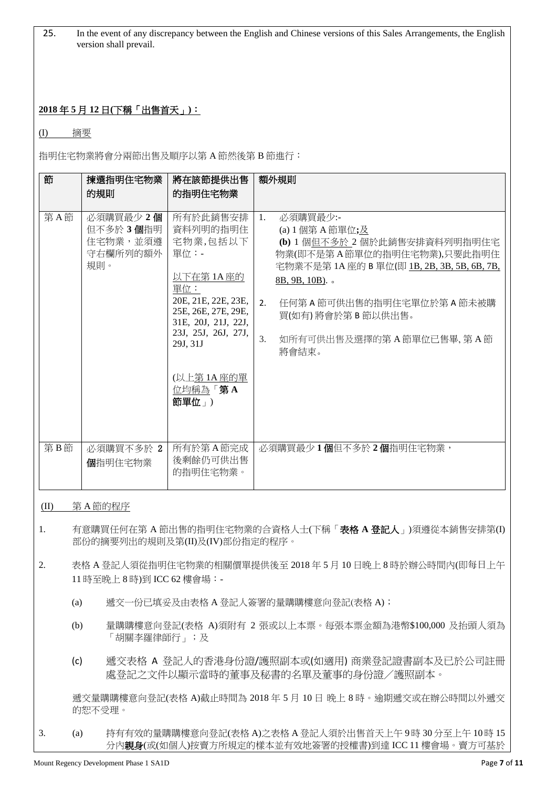25. In the event of any discrepancy between the English and Chinese versions of this Sales Arrangements, the English version shall prevail.

# **2018** 年 **5** 月 **12** 日**(**下稱「出售首天」**)**:

(I) 摘要

指明住宅物業將會分兩節出售及順序以第 A 節然後第 B 節進行:

| 節   | 揀選指明住宅物業                                              | 將在該節提供出售                                                                                                                                                                                             | 額外規則                                                                                                                                                                                                                                                                              |
|-----|-------------------------------------------------------|------------------------------------------------------------------------------------------------------------------------------------------------------------------------------------------------------|-----------------------------------------------------------------------------------------------------------------------------------------------------------------------------------------------------------------------------------------------------------------------------------|
|     | 的規則                                                   | 的指明住宅物業                                                                                                                                                                                              |                                                                                                                                                                                                                                                                                   |
| 第A節 | 必須購買最少 2個<br>但不多於3個指明<br>住宅物業,並須遵<br>守右欄所列的額外丨<br>規則。 | 所有於此銷售安排<br>資料列明的指明住<br>宅物業,包括以下<br>單位:-<br>以下在第1A座的<br>單位:<br>20E, 21E, 22E, 23E,<br>25E, 26E, 27E, 29E,<br>31E, 20J, 21J, 22J,<br>23J, 25J, 26J, 27J,<br>29J, 31J<br>(以上第1A座的單<br>位均稱為「第A<br>節單位」) | 必須購買最少:-<br>1.<br>(a) 1 個第 A 節單位;及<br>(b) 1 個但不多於 2 個於此銷售安排資料列明指明住宅<br>物業(即不是第A節單位的指明住宅物業),只要此指明住<br>宅物業不是第1A座的 B 單位(即 1B, 2B, 3B, 5B, 6B, 7B,<br>$8B, 9B, 10B$ ). $\circ$<br>2.<br>任何第 A 節可供出售的指明住宅單位於第 A 節未被購<br>買(如有) 將會於第 B 節以供出售。<br>3.<br>如所有可供出售及選擇的第A節單位已售畢, 第A節<br>將會結束。 |
| 第B節 | 必須購買不多於 2<br>個指明住宅物業                                  | 所有於第A節完成<br>後剩餘仍可供出售<br>的指明住宅物業。                                                                                                                                                                     | 必須購買最少1個但不多於2個指明住宅物業,                                                                                                                                                                                                                                                             |

## (II) 第 A 節的程序

- 1. 有意購買任何在第 A 節出售的指明住宅物業的合資格人士(下稱「表格 **A** 登記人」)須遵從本銷售安排第(I) 部份的摘要列出的規則及第(II)及(IV)部份指定的程序。
- 2. 表格 A 登記人須從指明住宅物業的相關價單提供後至 2018 年 5 月 10 日晚上 8 時於辦公時間內(即每日上午 11 時至晚上 8 時)到 ICC 62 樓會場:-
	- (a) 遞交一份已填妥及由表格 A 登記人簽署的量購購樓意向登記(表格 A);
	- (b) 量購購樓意向登記(表格 A)須附有 2 張或以上本票。每張本票金額為港幣\$100,000 及抬頭人須為 「胡關李羅律師行」;及
	- (c) 遞交表格 A 登記人的香港身份證/護照副本或(如適用) 商業登記證書副本及已於公司註冊 處登記之文件以顯示當時的董事及秘書的名單及董事的身份證/護照副本。

遞交量購購樓意向登記(表格 A)截止時間為 2018 年 5 月 10 日 晚上 8 時。逾期遞交或在辦公時間以外遞交 的恕不受理。

3. (a) 持有有效的量購購樓意向登記(表格 A)之表格 A 登記人須於出售首天上午 9 時 30 分至上午 10 時 15 分內親身(或(如個人)按賣方所規定的樣本並有效地簽署的授權書)到達 ICC 11 樓會場。賣方可基於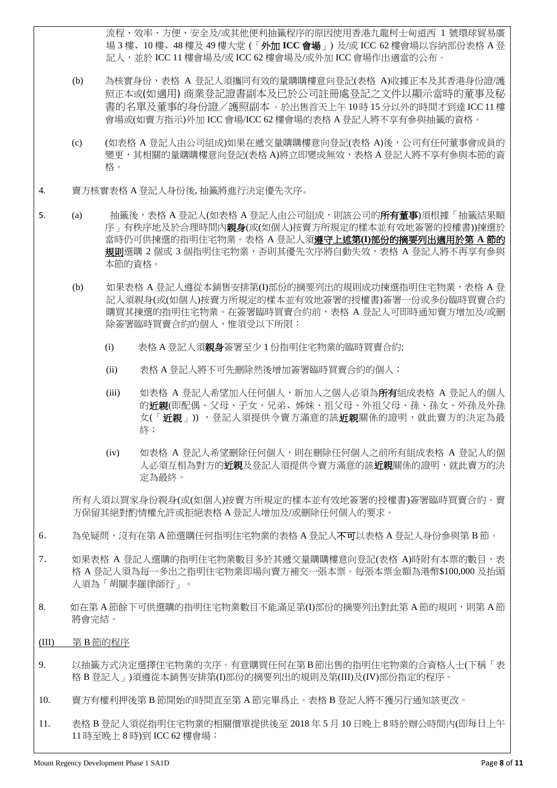流程、效率、方便、安全及/或其他便利抽籤程序的原因使用香港九龍柯士甸道西 1 號環球貿易廣 場 3 樓、10 樓、48 樓及 49 樓大堂 (「外加 **ICC** 會場」) 及/或 ICC 62 樓會場以容納部份表格 A 登 記人,並於 ICC 11 樓會場及/或 ICC 62 樓會場及/或外加 ICC 會場作出適當的公布。

- (b) 為核實身份,表格 A 登記人須攜同有效的量購購樓意向登記(表格 A)收據正本及其香港身份證/護 照正本或(如適用) 商業登記證書副本及已於公司註冊處登記之文件以顯示當時的董事及秘 書的名單及董事的身份證/護照副本 。於出售首天上午 10 時 15 分以外的時間才到達 ICC 11 樓 會場或(如賣方指示)外加 ICC 會場/ICC 62 樓會場的表格 A 登記人將不享有參與抽籤的資格。
- (c) (如表格 A 登記人由公司組成)如果在遞交量購購樓意向登記(表格 A)後,公司有任何董事會成員的 變更,其相關的量購購樓意向登記(表格 A)將立即變成無效,表格 A 登記人將不享有參與本節的資 格。
- 4. 賣方核實表格 A 登記人身份後, 抽籤將進行決定優先次序。
- 5. (a) 抽籤後,表格 A 登記人(如表格 A 登記人由公司組成,則該公司的**所有董事**)須根據「抽籤結果順 序」有秩序地及於合理時間內親身(或(如個人)按賣方所規定的樣本並有效地簽署的授權書))揀選於 當時仍可供揀選的指明住宅物業。表格 A 登記人須遵守上述第**(I)**部份的摘要列出適用於第 **A** 節的 規則選購 2 個或 3 個指明住宅物業,否則其優先次序將自動失效,表格 A 登記人將不再享有參與 本節的資格。
	- (b) 如果表格 A 登記人遵從本銷售安排第(I)部份的摘要列出的規則成功揀選指明住宅物業,表格 A 登 記人須親身(或(如個人)按賣方所規定的樣本並有效地簽署的授權書)簽署一份或多份臨時買賣合約 購買其揀選的指明住宅物業。在簽署臨時買賣合約前,表格 A 登記人可即時通知賣方增加及/或刪 除簽署臨時買賣合約的個人,惟須受以下所限:
		- (i) 表格 A 登記人須親身簽署至少 1 份指明住宅物業的臨時買賣合約;
		- (ii) 表格 A 登記人將不可先刪除然後增加簽署臨時買賣合約的個人;
		- (iii) 如表格 A 登記人希望加入任何個人,新加入之個人必須為**所有**組成表格 A 登記人的個人 的近親(即配偶、父母、子女、兄弟、姊妹、祖父母、外祖父母、孫、孩女、外孫及外孫 女(「**近親**」)),登記人須提供令賣方滿意的該**近親**關係的證明,就此賣方的決定為最 終;
		- (iv) 如表格 A 登記人希望刪除任何個人,則在刪除任何個人之前所有組成表格 A 登記人的個 人必須互相為對方的近親及登記人須提供令賣方滿意的該近親關係的證明,就此賣方的決 定為最終。

所有人須以買家身份親身(或(如個人)按賣方所規定的樣本並有效地簽署的授權書)簽署臨時買賣合約。賣 方保留其絕對酌情權允許或拒絕表格 A 登記人增加及/或刪除任何個人的要求。

- 6. 為免疑問,沒有在第 A 節選購任何指明住宅物業的表格 A 登記人不可以表格 A 登記人身份參與第 B 節。
- 7. 如果表格 A 登記人選購的指明住宅物業數目多於其遞交量購購樓意向登記(表格 A)時附有本票的數目,表 格 A 登記人須為每一多出之指明住宅物業即場向賣方補交一張本票。每張本票金額為港幣\$100,000 及抬頭 人須為「胡關李羅律師行」。
- 8. 初在第 A 節餘下可供選購的指明住宅物業數目不能滿足第(D部份的摘要列出對此第 A 節的規則,則第 A 節 將會完結。
- (III) 第 B 節的程序
- 9. 以抽籤方式決定選擇住宅物業的次序。有意購買任何在第 B節出售的指明住宅物業的合資格人士(下稱「表 格 B 登記人」)須遵從本銷售安排第(I)部份的摘要列出的規則及第(III)及(IV)部份指定的程序。
- 10. 賣方有權利押後第 B 節開始的時間直至第 A 節完畢爲止。表格 B 登記人將不獲另行通知該更改。
- 11. 表格 B 登記人須從指明住宅物業的相關價單提供後至 2018 年 5 月 10 日晚上 8 時於辦公時間內(即每日上午 11 時至晚上 8 時)到 ICC 62 樓會場: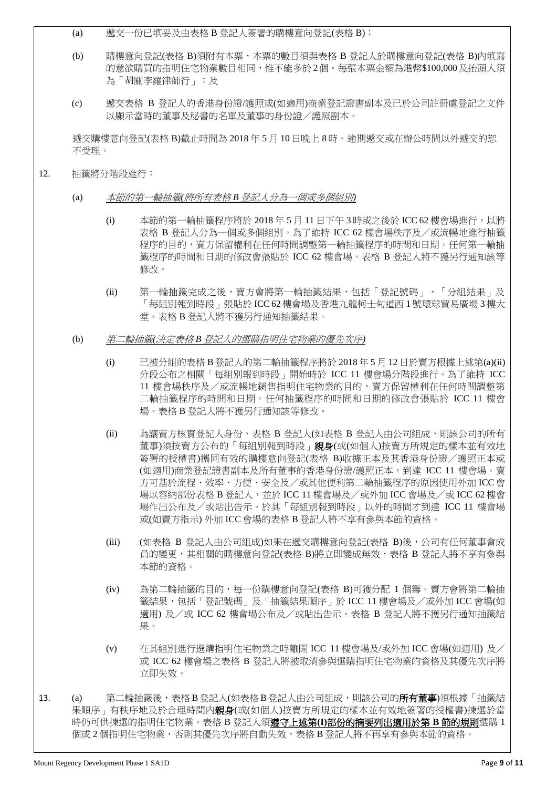- (a) 遞交一份已填妥及由表格 B 登記人簽署的購樓意向登記(表格 B);
- (b) 購樓意向登記(表格 B)須附有本票,本票的數目須與表格 B 登記人於購樓意向登記(表格 B)內填寫 的意欲購買的指明住宅物業數目相同,惟不能多於 2個。每張本票金額為港幣\$100,000及抬頭人須 為「胡關李羅律師行」;及
- (c) 遞交表格 B 登記人的香港身份證/護照或(如適用)商業登記證書副本及已於公司註冊處登記之文件 以顯示當時的董事及秘書的名單及董事的身份證/護照副本。

遞交購樓意向登記(表格 B)截止時間為 2018 年 5 月 10 日晚上 8 時。逾期遞交或在辦公時間以外遞交的恕 不受理。

- 12. 抽籤將分階段進行:
	- (a) 本節的第一輪抽籤*(*將所有表格 *B* 登記人分為一個或多個組別*)*
		- (i) 本節的第一輪抽籤程序將於 2018 年 5 月 11 日下午 3 時或之後於 ICC 62 樓會場進行,以將 表格 B 登記人分為一個或多個組別。為了維持 ICC 62 樓會場秩序及/或流暢地進行抽籤 程序的目的,賣方保留權利在任何時間調整第一輪抽籤程序的時間和日期。任何第一輪抽 籤程序的時間和日期的修改會張貼於 ICC 62 樓會場。表格 B 登記人將不獲另行通知該等 修改。
		- (ii) 第一輪抽籤完成之後,賣方會將第一輪抽籤結果,包括「登記號碼」、「分組結果」及 「每組別報到時段」張貼於 ICC 62 樓會場及香港九龍柯士甸道西 1 號環球貿易廣場 3 樓大 堂。表格 B 登記人將不獲另行通知抽籤結果。
	- (b) 第二輪抽籤*(*決定表格 *B* 登記人的選購指明住宅物業的優先次序*)*
		- (i) 已被分組的表格 B 登記人的第二輪抽籤程序將於 2018 年 5 月 12 日於賣方根據上述第(a)(ii) 分段公布之相關「每組別報到時段」開始時於 ICC 11 樓會場分階段進行。為了維持 ICC 11 樓會場秩序及/或流暢地銷售指明住宅物業的目的,賣方保留權利在任何時間調整第 二輪抽籤程序的時間和日期。任何抽籤程序的時間和日期的修改會張貼於 ICC 11 樓會 場。表格 B 登記人將不獲另行通知該等修改。
		- (ii) 為讓賣方核實登記人身份,表格 B 登記人(如表格 B 登記人由公司組成,則該公司的所有 董事)須按賣方公布的「每組別報到時段」親身(或(如個人)按賣方所規定的樣本並有效地 簽署的授權書)攜同有效的購樓意向登記(表格 B)收據正本及其香港身份證/護照正本或 (如適用)商業登記證書副本及所有董事的香港身份證/護照正本,到達 ICC 11 樓會場。賣 方可基於流程、效率、方便、安全及/或其他便利第二輪抽籤程序的原因使用外加 ICC 會 場以容納部份表格 B 登記人,並於 ICC 11 樓會場及/或外加 ICC 會場及/或 ICC 62 樓會 場作出公布及/或貼出告示。於其「每組別報到時段」以外的時間才到達 ICC 11 樓會場 或(如賣方指示) 外加 ICC 會場的表格 B 登記人將不享有參與本節的資格。
		- (iii) (如表格 B 登記人由公司組成)如果在遞交購樓意向登記(表格 B)後,公司有任何董事會成 員的變更,其相關的購樓意向登記(表格 B)將立即變成無效,表格 B 登記人將不享有參與 本節的資格。
		- (iv) 為第二輪抽籤的目的,每一份購樓意向登記(表格 B)可獲分配 1 個籌。賣方會將第二輪抽 籤結果,包括「登記號碼」及「抽籤結果順序」於 ICC 11 樓會場及/或外加 ICC 會場(如 適用) 及/或 ICC 62 樓會場公布及/或貼出告示。表格 B 登記人將不獲另行通知抽籤結 果。
		- (v) 在其組別進行選購指明住宅物業之時離開 ICC 11 樓會場及/或外加 ICC 會場(如適用) 及/ 或 ICC 62 樓會場之表格 B 登記人將被取消參與選購指明住宅物業的資格及其優先次序將 立即失效。
- 13. (a) 第二輪抽籤後,表格 B 登記人(如表格 B 登記人由公司組成,則該公司的**所有董事**)須根據「抽籤結 果順序,有秩序地及於合理時間內**親身**(或(如個人)按賣方所規定的樣本並有效地簽署的授權書)揀選於當 時仍可供揀選的指明住宅物業。表格 B 登記人須遵守上述第**(I)**部份的摘要列出適用於第 **B** 節的規則選購 1 個或 2 個指明住宅物業,否則其優先次序將自動失效,表格 B 登記人將不再享有參與本節的資格。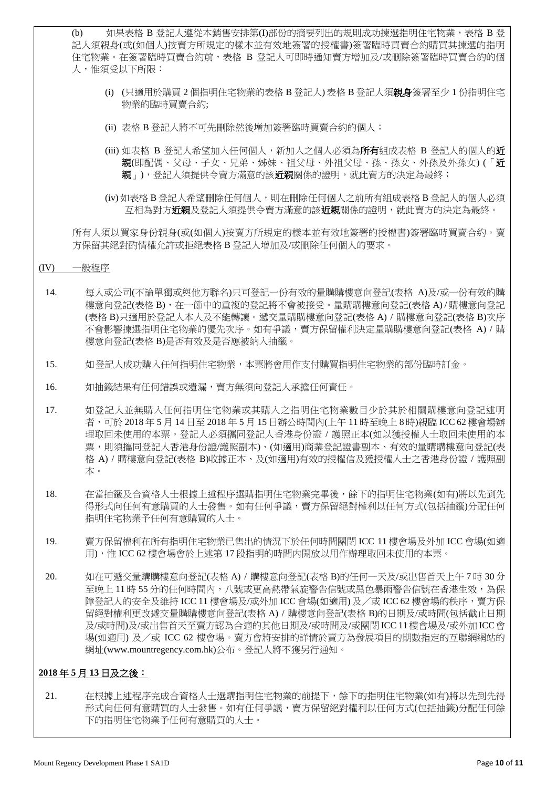(b) 如果表格 B 登記人遵從本銷售安排第(I)部份的摘要列出的規則成功揀選指明住宅物業,表格 B 登 記人須親身(或(如個人)按賣方所規定的樣本並有效地簽署的授權書)簽署臨時買賣合約購買其揀選的指明 住宅物業。在簽署臨時買賣合約前,表格 B 登記人可即時通知賣方增加及/或刪除簽署臨時買賣合約的個 人,惟須受以下所限:

- (i) (只適用於購買 2 個指明住宅物業的表格 B 登記人) 表格 B 登記人須親身簽署至少 1 份指明住宅 物業的臨時買賣合約;
- (ii) 表格 B 登記人將不可先刪除然後增加簽署臨時買賣合約的個人;
- (iii) 如表格 B 登記人希望加入任何個人,新加入之個人必須為所有組成表格 B 登記人的個人的近 親(即配偶、父母、子女、兄弟、姊妹、祖父母、外祖父母、孫、孫女、外孫及外孫女) (「近 親」),登記人須提供令賣方滿意的該**近親**關係的證明,就此賣方的決定為最終;
- (iv) 如表格 B 登記人希望刪除任何個人,則在刪除任何個人之前所有組成表格 B 登記人的個人必須 互相為對方近親及登記人須提供令賣方滿意的該近親關係的證明,就此賣方的決定為最終。

所有人須以買家身份親身(或(如個人)按賣方所規定的樣本並有效地簽署的授權書)簽署臨時買賣合約。賣 方保留其絕對酌情權允許或拒絕表格 B 登記人增加及/或刪除任何個人的要求。

#### (IV) 一般程序

- 14. 每人或公司(不論單獨或與他方聯名)只可登記一份有效的量購購樓意向登記(表格 A)及/或一份有效的購 樓意向登記(表格 B),在一節中的重複的登記將不會被接受。量購購樓意向登記(表格 A) / 購樓意向登記 (表格 B)只適用於登記人本人及不能轉讓。遞交量購購樓意向登記(表格 A) / 購樓意向登記(表格 B)次序 不會影響揀選指明住宅物業的優先次序。如有爭議,賣方保留權利決定量購購樓意向登記(表格 A) / 購 樓意向登記(表格 B)是否有效及是否應被納入抽籤。
- 15. 如登記人成功購入任何指明住宅物業,本票將會用作支付購買指明住宅物業的部份臨時訂金。
- 16. 如抽籤結果有任何錯誤或遺漏,賣方無須向登記人承擔任何責任。
- 17. 如登記人並無購入任何指明住宅物業或其購入之指明住宅物業數目少於其於相關購樓意向登記述明 者,可於 2018 年 5 月 14 日至 2018 年 5 月 15 日辦公時間內(上午 11 時至晚上 8 時)親臨 ICC 62 樓會場辦 理取回未使用的本票。登記人必須攜同登記人香港身份證 / 護照正本(如以獲授權人士取回未使用的本 票,則須攜同登記人香港身份證/護照副本)、(如適用)商業登記證書副本、有效的量購購樓意向登記(表 格 A) / 購樓意向登記(表格 B)收據正本、及(如適用)有效的授權信及獲授權人士之香港身份證 / 護照副 本。
- 18. 在當抽籤及合資格人士根據上述程序選購指明住宅物業完畢後,餘下的指明住宅物業(如有)將以先到先 得形式向任何有意購買的人士發售。如有任何爭議,賣方保留絕對權利以任何方式(包括抽籤)分配任何 指明住宅物業予任何有意購買的人士。
- 19. 賣方保留權利在所有指明住宅物業已售出的情況下於任何時間關閉 ICC 11 樓會場及外加 ICC 會場(如適 用),惟 ICC 62 樓會場會於上述第 17 段指明的時間内開放以用作辦理取回未使用的本票。
- 20. 如在可遞交量購購樓意向登記(表格 A) / 購樓意向登記(表格 B)的任何一天及/或出售首天上午 7 時 30 分 至晚上 11 時 55 分的任何時間內,八號或更高熱帶氣旋警告信號或黑色暴雨警告信號在香港生效,為保 障登記人的安全及維持 ICC 11 樓會場及/或外加 ICC 會場(如適用) 及/或 ICC 62 樓會場的秩序,賣方保 留絕對權利更改遞交量購購樓意向登記(表格 A) / 購樓意向登記(表格 B)的日期及/或時間(包括截止日期 及/或時間)及/或出售首天至賣方認為合適的其他日期及/或時間及/或關閉 ICC 11樓會場及/或外加 ICC會 場(如適用) 及/或 ICC 62 樓會場。賣方會將安排的詳情於賣方為發展項目的期數指定的互聯網網站的 網址(www.mountregency.com.hk)公布。登記人將不獲另行通知。

# **2018** 年 **5** 月 **13** 日及之後:

21. 在根據上述程序完成合資格人士選購指明住宅物業的前提下,餘下的指明住宅物業(如有)將以先到先得 形式向任何有意購買的人士發售。如有任何爭議,賣方保留絕對權利以任何方式(包括抽籤)分配任何餘 下的指明住宅物業予任何有意購買的人士。